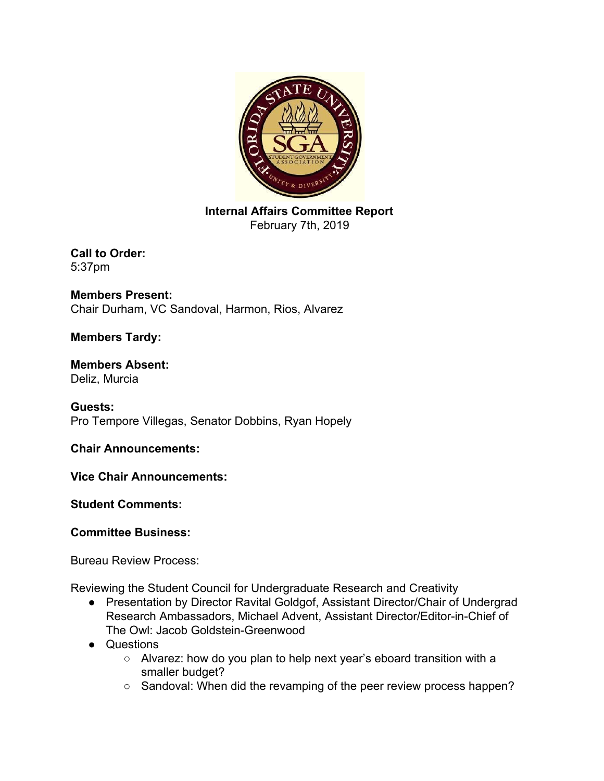

**Internal Affairs Committee Report** February 7th, 2019

**Call to Order:** 5:37pm

**Members Present:** Chair Durham, VC Sandoval, Harmon, Rios, Alvarez

## **Members Tardy:**

## **Members Absent:** Deliz, Murcia

**Guests:** Pro Tempore Villegas, Senator Dobbins, Ryan Hopely

**Chair Announcements:**

**Vice Chair Announcements:**

**Student Comments:**

## **Committee Business:**

Bureau Review Process:

Reviewing the Student Council for Undergraduate Research and Creativity

- Presentation by Director Ravital Goldgof, Assistant Director/Chair of Undergrad Research Ambassadors, Michael Advent, Assistant Director/Editor-in-Chief of The Owl: Jacob Goldstein-Greenwood
- Questions
	- Alvarez: how do you plan to help next year's eboard transition with a smaller budget?
	- Sandoval: When did the revamping of the peer review process happen?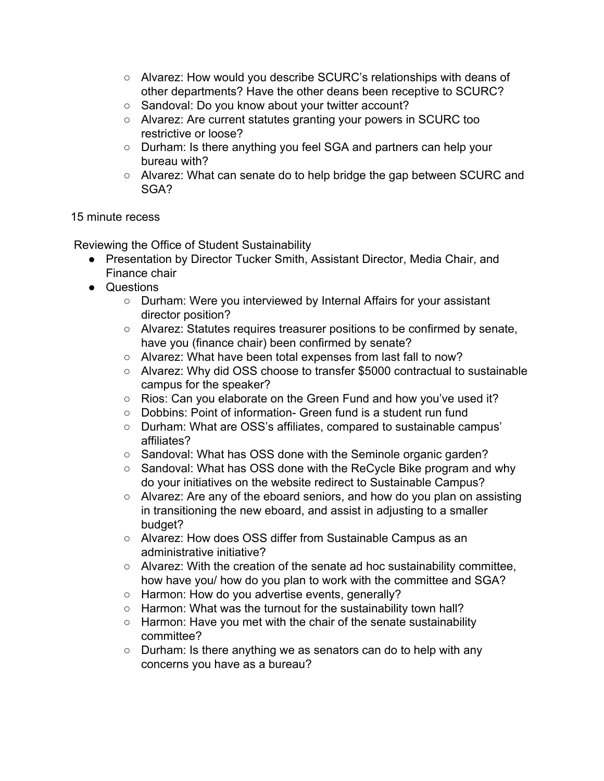- Alvarez: How would you describe SCURC's relationships with deans of other departments? Have the other deans been receptive to SCURC?
- Sandoval: Do you know about your twitter account?
- Alvarez: Are current statutes granting your powers in SCURC too restrictive or loose?
- Durham: Is there anything you feel SGA and partners can help your bureau with?
- Alvarez: What can senate do to help bridge the gap between SCURC and SGA?

## 15 minute recess

Reviewing the Office of Student Sustainability

- Presentation by Director Tucker Smith, Assistant Director, Media Chair, and Finance chair
- Questions
	- Durham: Were you interviewed by Internal Affairs for your assistant director position?
	- Alvarez: Statutes requires treasurer positions to be confirmed by senate, have you (finance chair) been confirmed by senate?
	- Alvarez: What have been total expenses from last fall to now?
	- Alvarez: Why did OSS choose to transfer \$5000 contractual to sustainable campus for the speaker?
	- Rios: Can you elaborate on the Green Fund and how you've used it?
	- Dobbins: Point of information- Green fund is a student run fund
	- Durham: What are OSS's affiliates, compared to sustainable campus' affiliates?
	- Sandoval: What has OSS done with the Seminole organic garden?
	- Sandoval: What has OSS done with the ReCycle Bike program and why do your initiatives on the website redirect to Sustainable Campus?
	- Alvarez: Are any of the eboard seniors, and how do you plan on assisting in transitioning the new eboard, and assist in adjusting to a smaller budget?
	- Alvarez: How does OSS differ from Sustainable Campus as an administrative initiative?
	- Alvarez: With the creation of the senate ad hoc sustainability committee, how have you/ how do you plan to work with the committee and SGA?
	- Harmon: How do you advertise events, generally?
	- Harmon: What was the turnout for the sustainability town hall?
	- Harmon: Have you met with the chair of the senate sustainability committee?
	- Durham: Is there anything we as senators can do to help with any concerns you have as a bureau?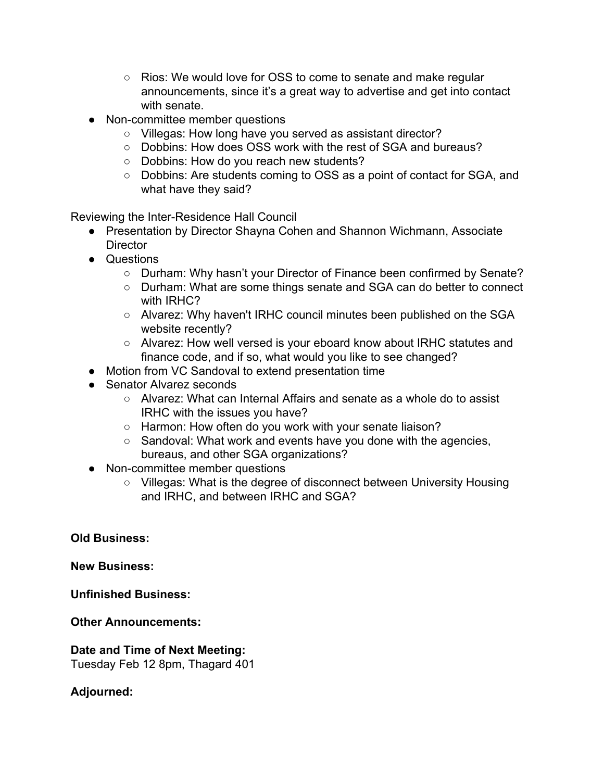- Rios: We would love for OSS to come to senate and make regular announcements, since it's a great way to advertise and get into contact with senate.
- Non-committee member questions
	- Villegas: How long have you served as assistant director?
	- Dobbins: How does OSS work with the rest of SGA and bureaus?
	- Dobbins: How do you reach new students?
	- Dobbins: Are students coming to OSS as a point of contact for SGA, and what have they said?

Reviewing the Inter-Residence Hall Council

- Presentation by Director Shayna Cohen and Shannon Wichmann, Associate **Director**
- Questions
	- Durham: Why hasn't your Director of Finance been confirmed by Senate?
	- Durham: What are some things senate and SGA can do better to connect with IRHC?
	- Alvarez: Why haven't IRHC council minutes been published on the SGA website recently?
	- Alvarez: How well versed is your eboard know about IRHC statutes and finance code, and if so, what would you like to see changed?
- Motion from VC Sandoval to extend presentation time
- Senator Alvarez seconds
	- $\circ$  Alvarez: What can Internal Affairs and senate as a whole do to assist IRHC with the issues you have?
	- Harmon: How often do you work with your senate liaison?
	- Sandoval: What work and events have you done with the agencies, bureaus, and other SGA organizations?
- Non-committee member questions
	- Villegas: What is the degree of disconnect between University Housing and IRHC, and between IRHC and SGA?

**Old Business:**

**New Business:**

**Unfinished Business:**

**Other Announcements:**

**Date and Time of Next Meeting:** Tuesday Feb 12 8pm, Thagard 401

**Adjourned:**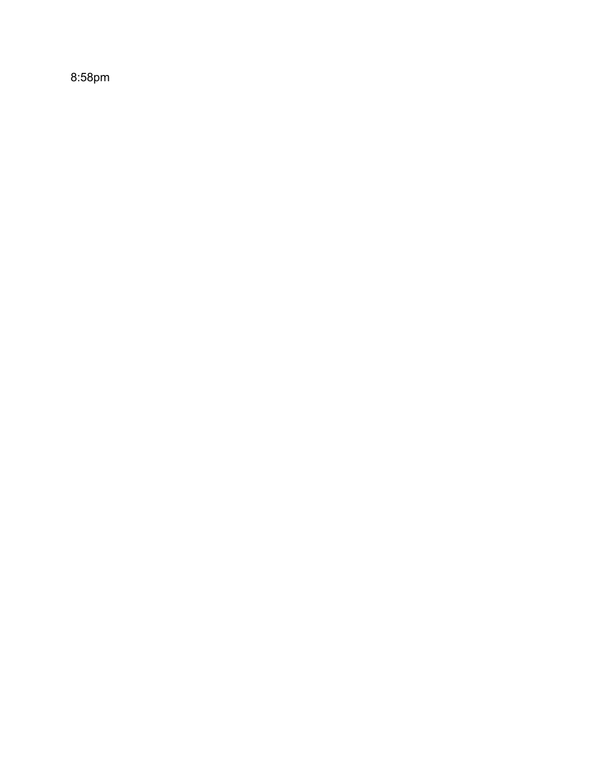8:58pm